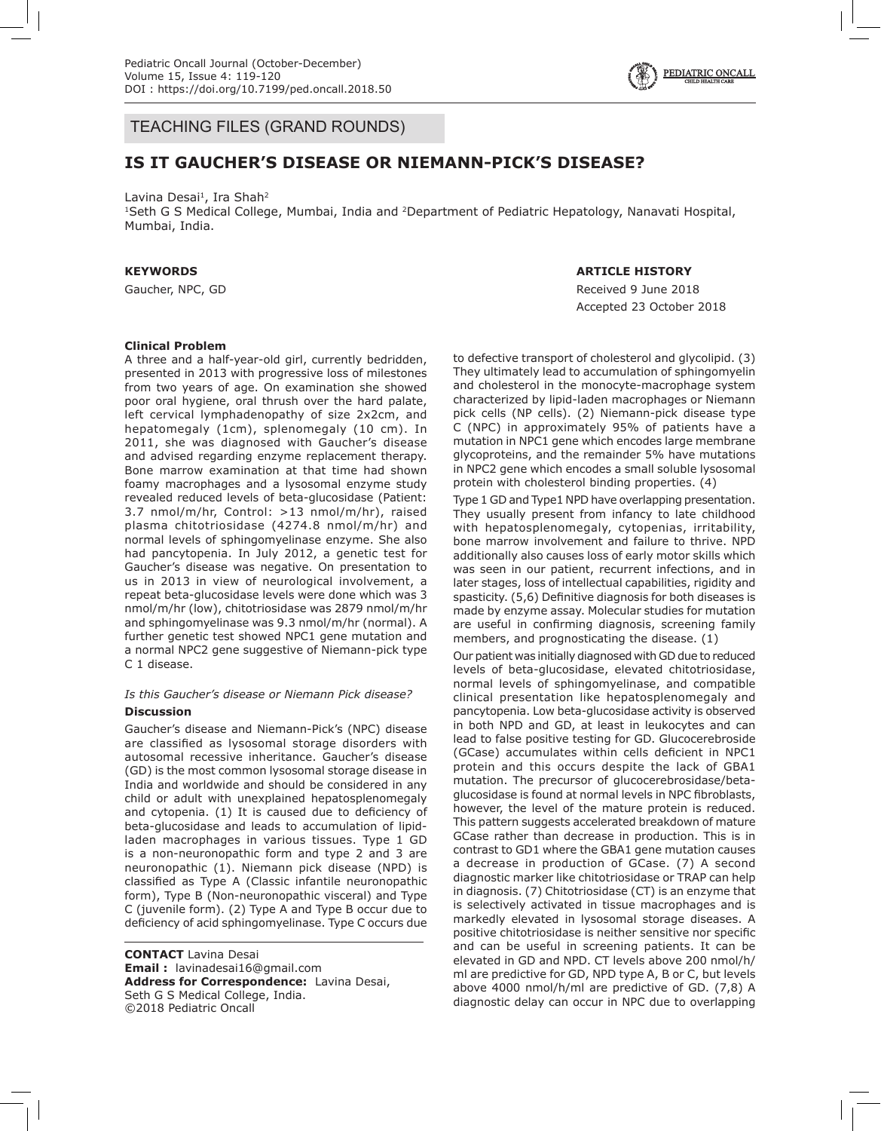

# TEACHING FILES (GRAND ROUNDS)

# **IS IT GAUCHER'S DISEASE OR NIEMANN-PICK'S DISEASE?**

Lavina Desai<sup>1</sup>, Ira Shah<sup>2</sup>

1Seth G S Medical College, Mumbai, India and 2Department of Pediatric Hepatology, Nanavati Hospital, Mumbai, India.

### **KEYWORDS**

Gaucher, NPC, GD

# **ARTICLE HISTORY**

Received 9 June 2018 Accepted 23 October 2018

### **Clinical Problem**

A three and a half-year-old girl, currently bedridden, presented in 2013 with progressive loss of milestones from two years of age. On examination she showed poor oral hygiene, oral thrush over the hard palate, left cervical lymphadenopathy of size 2x2cm, and hepatomegaly (1cm), splenomegaly (10 cm). In 2011, she was diagnosed with Gaucher's disease and advised regarding enzyme replacement therapy. Bone marrow examination at that time had shown foamy macrophages and a lysosomal enzyme study revealed reduced levels of beta-glucosidase (Patient: 3.7 nmol/m/hr, Control: >13 nmol/m/hr), raised plasma chitotriosidase (4274.8 nmol/m/hr) and normal levels of sphingomyelinase enzyme. She also had pancytopenia. In July 2012, a genetic test for Gaucher's disease was negative. On presentation to us in 2013 in view of neurological involvement, a repeat beta-glucosidase levels were done which was 3 nmol/m/hr (low), chitotriosidase was 2879 nmol/m/hr and sphingomyelinase was 9.3 nmol/m/hr (normal). A further genetic test showed NPC1 gene mutation and a normal NPC2 gene suggestive of Niemann-pick type C 1 disease.

# *Is this Gaucher's disease or Niemann Pick disease?*

### **Discussion**

Gaucher's disease and Niemann-Pick's (NPC) disease are classified as lysosomal storage disorders with autosomal recessive inheritance. Gaucher's disease (GD) is the most common lysosomal storage disease in India and worldwide and should be considered in any child or adult with unexplained hepatosplenomegaly and cytopenia. (1) It is caused due to deficiency of beta-glucosidase and leads to accumulation of lipidladen macrophages in various tissues. Type 1 GD is a non-neuronopathic form and type 2 and 3 are neuronopathic (1). Niemann pick disease (NPD) is classified as Type A (Classic infantile neuronopathic form), Type B (Non-neuronopathic visceral) and Type C (juvenile form). (2) Type A and Type B occur due to deficiency of acid sphingomyelinase. Type C occurs due

**CONTACT** Lavina Desai **Email :** lavinadesai16@gmail.com **Address for Correspondence:** Lavina Desai, Seth G S Medical College, India. ©2018 Pediatric Oncall

to defective transport of cholesterol and glycolipid. (3) They ultimately lead to accumulation of sphingomyelin and cholesterol in the monocyte-macrophage system characterized by lipid-laden macrophages or Niemann pick cells (NP cells). (2) Niemann-pick disease type C (NPC) in approximately 95% of patients have a mutation in NPC1 gene which encodes large membrane glycoproteins, and the remainder 5% have mutations in NPC2 gene which encodes a small soluble lysosomal protein with cholesterol binding properties. (4)

Type 1 GD and Type1 NPD have overlapping presentation. They usually present from infancy to late childhood with hepatosplenomegaly, cytopenias, irritability, bone marrow involvement and failure to thrive. NPD additionally also causes loss of early motor skills which was seen in our patient, recurrent infections, and in later stages, loss of intellectual capabilities, rigidity and spasticity. (5,6) Definitive diagnosis for both diseases is made by enzyme assay. Molecular studies for mutation are useful in confirming diagnosis, screening family members, and prognosticating the disease. (1)

Our patient was initially diagnosed with GD due to reduced levels of beta-glucosidase, elevated chitotriosidase, normal levels of sphingomyelinase, and compatible clinical presentation like hepatosplenomegaly and pancytopenia. Low beta-glucosidase activity is observed in both NPD and GD, at least in leukocytes and can lead to false positive testing for GD. Glucocerebroside (GCase) accumulates within cells deficient in NPC1 protein and this occurs despite the lack of GBA1 mutation. The precursor of glucocerebrosidase/betaglucosidase is found at normal levels in NPC fibroblasts, however, the level of the mature protein is reduced. This pattern suggests accelerated breakdown of mature GCase rather than decrease in production. This is in contrast to GD1 where the GBA1 gene mutation causes a decrease in production of GCase. (7) A second diagnostic marker like chitotriosidase or TRAP can help in diagnosis. (7) Chitotriosidase (CT) is an enzyme that is selectively activated in tissue macrophages and is markedly elevated in lysosomal storage diseases. A positive chitotriosidase is neither sensitive nor specific and can be useful in screening patients. It can be elevated in GD and NPD. CT levels above 200 nmol/h/ ml are predictive for GD, NPD type A, B or C, but levels above 4000 nmol/h/ml are predictive of GD. (7,8) A diagnostic delay can occur in NPC due to overlapping